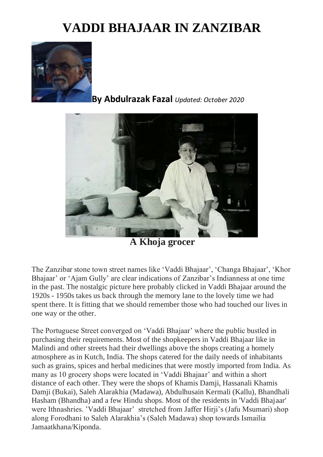## **VADDI BHAJAAR IN ZANZIBAR**



## **By Abdulrazak Fazal** *Updated: October 2020*



**A Khoja grocer**

The Zanzibar stone town street names like 'Vaddi Bhajaar', 'Changa Bhajaar', 'Khor Bhajaar' or 'Ajam Gully' are clear indications of Zanzibar's Indianness at one time in the past. The nostalgic picture here probably clicked in Vaddi Bhajaar around the 1920s - 1950s takes us back through the memory lane to the lovely time we had spent there. It is fitting that we should remember those who had touched our lives in one way or the other.

The Portuguese Street converged on 'Vaddi Bhajaar' where the public bustled in purchasing their requirements. Most of the shopkeepers in Vaddi Bhajaar like in Malindi and other streets had their dwellings above the shops creating a homely atmosphere as in Kutch, India. The shops catered for the daily needs of inhabitants such as grains, spices and herbal medicines that were mostly imported from India. As many as 10 grocery shops were located in 'Vaddi Bhajaar' and within a short distance of each other. They were the shops of Khamis Damji, Hassanali Khamis Damji (Bukai), Saleh Alarakhia (Madawa), Abdulhusain Kermali (Kallu), Bhandhali Hasham (Bhandha) and a few Hindu shops. Most of the residents in 'Vaddi Bhajaar' were Ithnashries. 'Vaddi Bhajaar' stretched from Jaffer Hirji's (Jafu Msumari) shop along Forodhani to Saleh Alarakhia's (Saleh Madawa) shop towards Ismailia Jamaatkhana/Kiponda.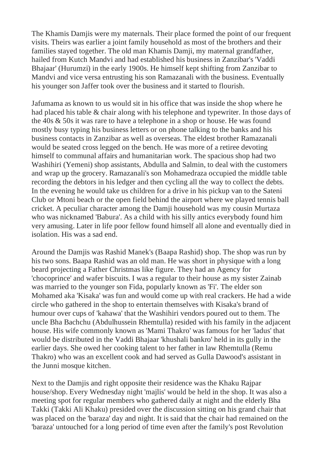The Khamis Damiis were my maternals. Their place formed the point of our frequent visits. Theirs was earlier a joint family household as most of the brothers and their families stayed together. The old man Khamis Damji, my maternal grandfather, hailed from Kutch Mandvi and had established his business in Zanzibar's 'Vaddi Bhajaar' (Hurumzi) in the early 1900s. He himself kept shifting from Zanzibar to Mandvi and vice versa entrusting his son Ramazanali with the business. Eventually his younger son Jaffer took over the business and it started to flourish.

Jafumama as known to us would sit in his office that was inside the shop where he had placed his table & chair along with his telephone and typewriter. In those days of the 40s & 50s it was rare to have a telephone in a shop or house. He was found mostly busy typing his business letters or on phone talking to the banks and his business contacts in Zanzibar as well as overseas. The eldest brother Ramazanali would be seated cross legged on the bench. He was more of a retiree devoting himself to communal affairs and humanitarian work. The spacious shop had two Washihiri (Yemeni) shop assistants, Abdulla and Salmin, to deal with the customers and wrap up the grocery. Ramazanali's son Mohamedraza occupied the middle table recording the debtors in his ledger and then cycling all the way to collect the debts. In the evening he would take us children for a drive in his pickup van to the Sateni Club or Mtoni beach or the open field behind the airport where we played tennis ball cricket. A peculiar character among the Damji household was my cousin Murtaza who was nicknamed 'Babura'. As a child with his silly antics everybody found him very amusing. Later in life poor fellow found himself all alone and eventually died in isolation. His was a sad end.

Around the Damjis was Rashid Manek's (Baapa Rashid) shop. The shop was run by his two sons. Baapa Rashid was an old man. He was short in physique with a long beard projecting a Father Christmas like figure. They had an Agency for 'chocoprince' and wafer biscuits. I was a regular to their house as my sister Zainab was married to the younger son Fida, popularly known as 'Fi'. The elder son Mohamed aka 'Kisaka' was fun and would come up with real crackers. He had a wide circle who gathered in the shop to entertain themselves with Kisaka's brand of humour over cups of 'kahawa' that the Washihiri vendors poured out to them. The uncle Bha Bachchu (Abdulhussein Rhemtulla) resided with his family in the adjacent house. His wife commonly known as 'Mami Thakro' was famous for her 'ladus' that would be distributed in the Vaddi Bhajaar 'khushali bankro' held in its gully in the earlier days. She owed her cooking talent to her father in law Rhemtulla (Remu Thakro) who was an excellent cook and had served as Gulla Dawood's assistant in the Junni mosque kitchen.

Next to the Damjis and right opposite their residence was the Khaku Rajpar house/shop. Every Wednesday night 'majlis' would be held in the shop. It was also a meeting spot for regular members who gathered daily at night and the elderly Bha Takki (Takki Ali Khaku) presided over the discussion sitting on his grand chair that was placed on the 'baraza' day and night. It is said that the chair had remained on the 'baraza' untouched for a long period of time even after the family's post Revolution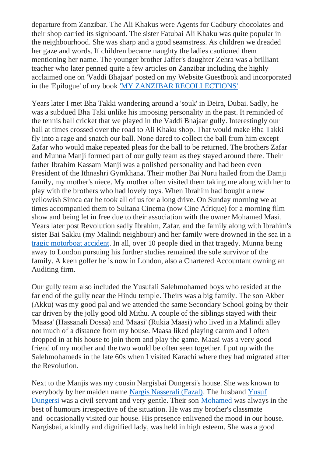departure from Zanzibar. The Ali Khakus were Agents for Cadbury chocolates and their shop carried its signboard. The sister Fatubai Ali Khaku was quite popular in the neighbourhood. She was sharp and a good seamstress. As children we dreaded her gaze and words. If children became naughty the ladies cautioned them mentioning her name. The younger brother Jaffer's daughter Zehra was a brilliant teacher who later penned quite a few articles on Zanzibar including the highly acclaimed one on 'Vaddi Bhajaar' posted on my Website Guestbook and incorporated in the 'Epilogue' of my book ['MY ZANZIBAR RECOLLECTIONS'.](http://www.dewani.ca/My%20zbar%20collections%202015.pdf)

Years later I met Bha Takki wandering around a 'souk' in Deira, Dubai. Sadly, he was a subdued Bha Taki unlike his imposing personality in the past. It reminded of the tennis ball cricket that we played in the Vaddi Bhajaar gully. Interestingly our ball at times crossed over the road to Ali Khaku shop. That would make Bha Takki fly into a rage and snatch our ball. None dared to collect the ball from him except Zafar who would make repeated pleas for the ball to be returned. The brothers Zafar and Munna Manji formed part of our gully team as they stayed around there. Their father Ibrahim Kassam Manji was a polished personality and had been even President of the Ithnashri Gymkhana. Their mother Bai Nuru hailed from the Damji family, my mother's niece. My mother often visited them taking me along with her to play with the brothers who had lovely toys. When Ibrahim had bought a new yellowish Simca car he took all of us for a long drive. On Sunday morning we at times accompanied them to Sultana Cinema (now Cine Afrique) for a morning film show and being let in free due to their association with the owner Mohamed Masi. Years later post Revolution sadly Ibrahim, Zafar, and the family along with Ibrahim's sister Bai Sakku (my Malindi neighbour) and her family were drowned in the sea in a [tragic motorboat accident.](http://www.dewani.ca/1970.htm) In all, over 10 people died in that tragedy. Munna being away to London pursuing his further studies remained the sole survivor of the family. A keen golfer he is now in London, also a Chartered Accountant owning an Auditing firm.

Our gully team also included the Yusufali Salehmohamed boys who resided at the far end of the gully near the Hindu temple. Theirs was a big family. The son Akber (Akku) was my good pal and we attended the same Secondary School going by their car driven by the jolly good old Mithu. A couple of the siblings stayed with their 'Maasa' (Hassanali Dossa) and 'Maasi' (Rukia Maasi) who lived in a Malindi alley not much of a distance from my house. Maasa liked playing carom and I often dropped in at his house to join them and play the game. Maasi was a very good friend of my mother and the two would be often seen together. I put up with the Salehmohameds in the late 60s when I visited Karachi where they had migrated after the Revolution.

Next to the Manjis was my cousin Nargisbai Dungersi's house. She was known to everybody by her maiden name [Nargis Nasserali \(Fazal\).](http://www.dewani.ca/yusuf7.htm) The husband [Yusuf](http://www.dewani.ca/yusuf7.htm)  [Dungersi](http://www.dewani.ca/yusuf7.htm) was a civil servant and very gentle. Their son [Mohamed](http://www.dewani.ca/mohamedy8.htm) was always in the best of humours irrespective of the situation. He was my brother's classmate and occasionally visited our house. His presence enlivened the mood in our house. Nargisbai, a kindly and dignified lady, was held in high esteem. She was a good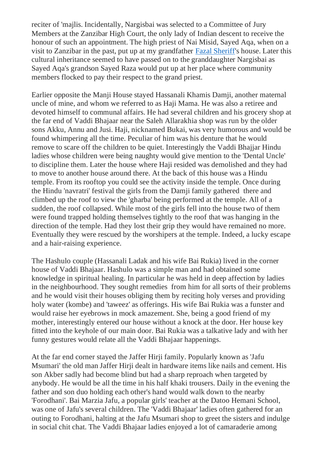reciter of 'majlis. Incidentally, Nargisbai was selected to a Committee of Jury Members at the Zanzibar High Court, the only lady of Indian descent to receive the honour of such an appointment. The high priest of Nai Misid, Sayed Aqa, when on a visit to Zanzibar in the past, put up at my grandfather [Fazal Sheriff'](http://www.dewani.ca/mohamed5.htm)s house. Later this cultural inheritance seemed to have passed on to the granddaughter Nargisbai as Sayed Aqa's grandson Sayed Raza would put up at her place where community members flocked to pay their respect to the grand priest.

Earlier opposite the Manji House stayed Hassanali Khamis Damji, another maternal uncle of mine, and whom we referred to as Haji Mama. He was also a retiree and devoted himself to communal affairs. He had several children and his grocery shop at the far end of Vaddi Bhajaar near the Saleh Allarakhia shop was run by the older sons Akku, Annu and Jusi. Haji, nicknamed Bukai, was very humorous and would be found whimpering all the time. Peculiar of him was his denture that he would remove to scare off the children to be quiet. Interestingly the Vaddi Bhajjar Hindu ladies whose children were being naughty would give mention to the 'Dental Uncle' to discipline them. Later the house where Haji resided was demolished and they had to move to another house around there. At the back of this house was a Hindu temple. From its rooftop you could see the activity inside the temple. Once during the Hindu 'navratri' festival the girls from the Damji family gathered there and climbed up the roof to view the 'gharba' being performed at the temple. All of a sudden, the roof collapsed. While most of the girls fell into the house two of them were found trapped holding themselves tightly to the roof that was hanging in the direction of the temple. Had they lost their grip they would have remained no more. Eventually they were rescued by the worshipers at the temple. Indeed, a lucky escape and a hair-raising experience.

The Hashulo couple (Hassanali Ladak and his wife Bai Rukia) lived in the corner house of Vaddi Bhajaar. Hashulo was a simple man and had obtained some knowledge in spiritual healing. In particular he was held in deep affection by ladies in the neighbourhood. They sought remedies from him for all sorts of their problems and he would visit their houses obliging them by reciting holy verses and providing holy water (kombe) and 'taweez' as offerings. His wife Bai Rukia was a funster and would raise her eyebrows in mock amazement. She, being a good friend of my mother, interestingly entered our house without a knock at the door. Her house key fitted into the keyhole of our main door. Bai Rukia was a talkative lady and with her funny gestures would relate all the Vaddi Bhajaar happenings.

At the far end corner stayed the Jaffer Hirji family. Popularly known as 'Jafu Msumari' the old man Jaffer Hirji dealt in hardware items like nails and cement. His son Akber sadly had become blind but had a sharp reproach when targeted by anybody. He would be all the time in his half khaki trousers. Daily in the evening the father and son duo holding each other's hand would walk down to the nearby 'Forodhani'. Bai Marzia Jafu, a popular girls' teacher at the Datoo Hemani School, was one of Jafu's several children. The 'Vaddi Bhajaar' ladies often gathered for an outing to Forodhani, halting at the Jafu Msumari shop to greet the sisters and indulge in social chit chat. The Vaddi Bhajaar ladies enjoyed a lot of camaraderie among